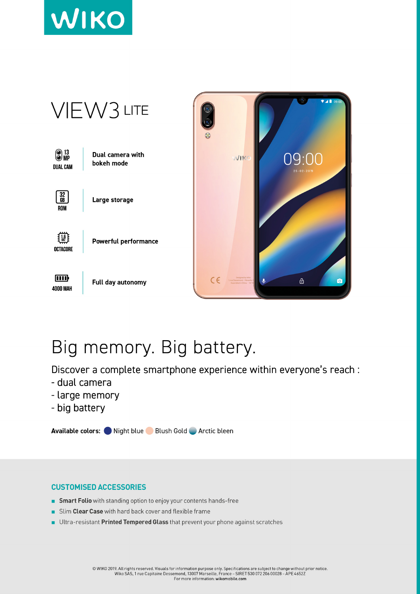



## Big memory. Big battery.

Discover a complete smartphone experience within everyone's reach :

- dual camera
- large memory
- big battery

Available colors: Night blue Blush Gold Arctic bleen

## **CUSTOMISED ACCESSORIES**

- **Smart Folio** with standing option to enjoy your contents hands-free
- Slim Clear Case with hard back cover and flexible frame
- Ultra-resistant Printed Tempered Glass that prevent your phone against scratches